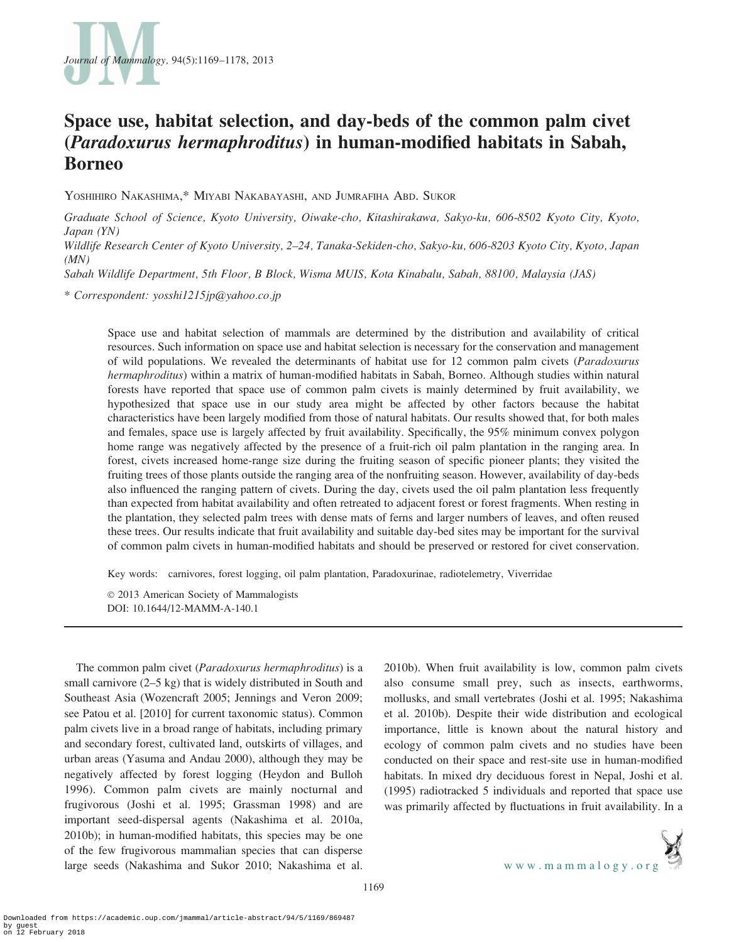

# Space use, habitat selection, and day-beds of the common palm civet (Paradoxurus hermaphroditus) in human-modified habitats in Sabah, Borneo

YOSHIHIRO NAKASHIMA,\* MIYABI NAKABAYASHI, AND JUMRAFIHA ABD. SUKOR

Graduate School of Science, Kyoto University, Oiwake-cho, Kitashirakawa, Sakyo-ku, 606-8502 Kyoto City, Kyoto, Japan (YN)

Wildlife Research Center of Kyoto University, 2–24, Tanaka-Sekiden-cho, Sakyo-ku, 606-8203 Kyoto City, Kyoto, Japan  $(MN)$ 

Sabah Wildlife Department, 5th Floor, B Block, Wisma MUIS, Kota Kinabalu, Sabah, 88100, Malaysia (JAS)

\* Correspondent: yosshi1215jp@yahoo.co.jp

Space use and habitat selection of mammals are determined by the distribution and availability of critical resources. Such information on space use and habitat selection is necessary for the conservation and management of wild populations. We revealed the determinants of habitat use for 12 common palm civets (Paradoxurus hermaphroditus) within a matrix of human-modified habitats in Sabah, Borneo. Although studies within natural forests have reported that space use of common palm civets is mainly determined by fruit availability, we hypothesized that space use in our study area might be affected by other factors because the habitat characteristics have been largely modified from those of natural habitats. Our results showed that, for both males and females, space use is largely affected by fruit availability. Specifically, the 95% minimum convex polygon home range was negatively affected by the presence of a fruit-rich oil palm plantation in the ranging area. In forest, civets increased home-range size during the fruiting season of specific pioneer plants; they visited the fruiting trees of those plants outside the ranging area of the nonfruiting season. However, availability of day-beds also influenced the ranging pattern of civets. During the day, civets used the oil palm plantation less frequently than expected from habitat availability and often retreated to adjacent forest or forest fragments. When resting in the plantation, they selected palm trees with dense mats of ferns and larger numbers of leaves, and often reused these trees. Our results indicate that fruit availability and suitable day-bed sites may be important for the survival of common palm civets in human-modified habitats and should be preserved or restored for civet conservation.

Key words: carnivores, forest logging, oil palm plantation, Paradoxurinae, radiotelemetry, Viverridae

 $© 2013$  American Society of Mammalogists DOI: 10.1644/12-MAMM-A-140.1

The common palm civet (*Paradoxurus hermaphroditus*) is a small carnivore (2–5 kg) that is widely distributed in South and Southeast Asia (Wozencraft 2005; Jennings and Veron 2009; see Patou et al. [2010] for current taxonomic status). Common palm civets live in a broad range of habitats, including primary and secondary forest, cultivated land, outskirts of villages, and urban areas (Yasuma and Andau 2000), although they may be negatively affected by forest logging (Heydon and Bulloh 1996). Common palm civets are mainly nocturnal and frugivorous (Joshi et al. 1995; Grassman 1998) and are important seed-dispersal agents (Nakashima et al. 2010a, 2010b); in human-modified habitats, this species may be one of the few frugivorous mammalian species that can disperse large seeds (Nakashima and Sukor 2010; Nakashima et al.

2010b). When fruit availability is low, common palm civets also consume small prey, such as insects, earthworms, mollusks, and small vertebrates (Joshi et al. 1995; Nakashima et al. 2010b). Despite their wide distribution and ecological importance, little is known about the natural history and ecology of common palm civets and no studies have been conducted on their space and rest-site use in human-modified habitats. In mixed dry deciduous forest in Nepal, Joshi et al. (1995) radiotracked 5 individuals and reported that space use was primarily affected by fluctuations in fruit availability. In a

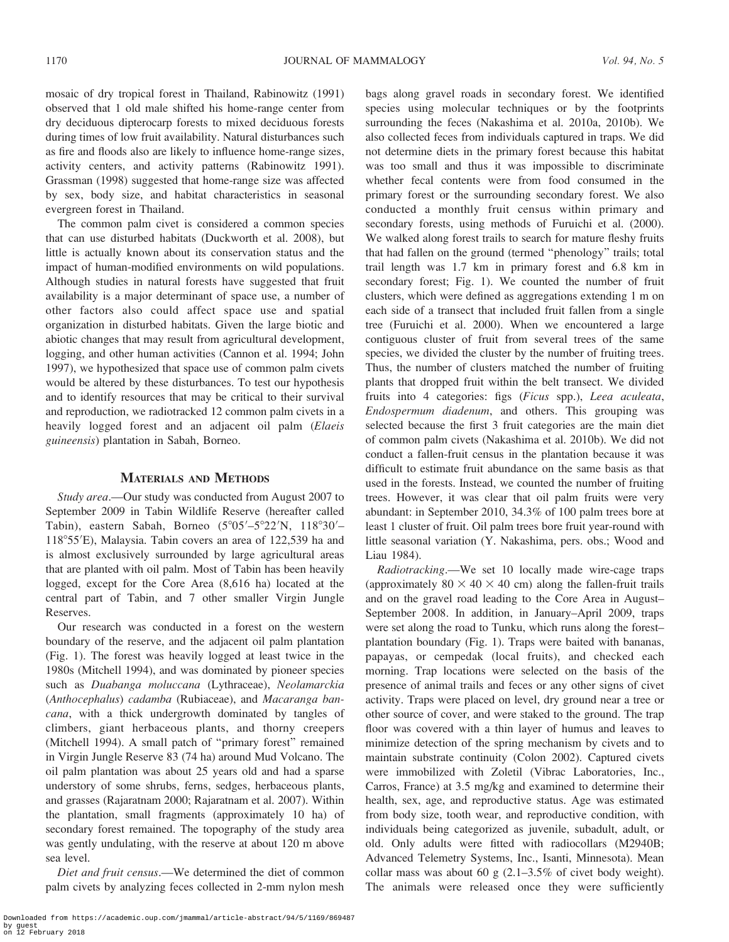mosaic of dry tropical forest in Thailand, Rabinowitz (1991) observed that 1 old male shifted his home-range center from dry deciduous dipterocarp forests to mixed deciduous forests during times of low fruit availability. Natural disturbances such as fire and floods also are likely to influence home-range sizes, activity centers, and activity patterns (Rabinowitz 1991). Grassman (1998) suggested that home-range size was affected by sex, body size, and habitat characteristics in seasonal evergreen forest in Thailand.

The common palm civet is considered a common species that can use disturbed habitats (Duckworth et al. 2008), but little is actually known about its conservation status and the impact of human-modified environments on wild populations. Although studies in natural forests have suggested that fruit availability is a major determinant of space use, a number of other factors also could affect space use and spatial organization in disturbed habitats. Given the large biotic and abiotic changes that may result from agricultural development, logging, and other human activities (Cannon et al. 1994; John 1997), we hypothesized that space use of common palm civets would be altered by these disturbances. To test our hypothesis and to identify resources that may be critical to their survival and reproduction, we radiotracked 12 common palm civets in a heavily logged forest and an adjacent oil palm (Elaeis guineensis) plantation in Sabah, Borneo.

## MATERIALS AND METHODS

Study area.—Our study was conducted from August 2007 to September 2009 in Tabin Wildlife Reserve (hereafter called Tabin), eastern Sabah, Borneo  $(5^{\circ}05' - 5^{\circ}22'N, 118^{\circ}30' -$ 118°55'E), Malaysia. Tabin covers an area of 122,539 ha and is almost exclusively surrounded by large agricultural areas that are planted with oil palm. Most of Tabin has been heavily logged, except for the Core Area (8,616 ha) located at the central part of Tabin, and 7 other smaller Virgin Jungle Reserves.

Our research was conducted in a forest on the western boundary of the reserve, and the adjacent oil palm plantation (Fig. 1). The forest was heavily logged at least twice in the 1980s (Mitchell 1994), and was dominated by pioneer species such as Duabanga moluccana (Lythraceae), Neolamarckia (Anthocephalus) cadamba (Rubiaceae), and Macaranga bancana, with a thick undergrowth dominated by tangles of climbers, giant herbaceous plants, and thorny creepers (Mitchell 1994). A small patch of ''primary forest'' remained in Virgin Jungle Reserve 83 (74 ha) around Mud Volcano. The oil palm plantation was about 25 years old and had a sparse understory of some shrubs, ferns, sedges, herbaceous plants, and grasses (Rajaratnam 2000; Rajaratnam et al. 2007). Within the plantation, small fragments (approximately 10 ha) of secondary forest remained. The topography of the study area was gently undulating, with the reserve at about 120 m above sea level.

Diet and fruit census.—We determined the diet of common palm civets by analyzing feces collected in 2-mm nylon mesh bags along gravel roads in secondary forest. We identified species using molecular techniques or by the footprints surrounding the feces (Nakashima et al. 2010a, 2010b). We also collected feces from individuals captured in traps. We did not determine diets in the primary forest because this habitat was too small and thus it was impossible to discriminate whether fecal contents were from food consumed in the primary forest or the surrounding secondary forest. We also conducted a monthly fruit census within primary and secondary forests, using methods of Furuichi et al. (2000). We walked along forest trails to search for mature fleshy fruits that had fallen on the ground (termed ''phenology'' trails; total trail length was 1.7 km in primary forest and 6.8 km in secondary forest; Fig. 1). We counted the number of fruit clusters, which were defined as aggregations extending 1 m on each side of a transect that included fruit fallen from a single tree (Furuichi et al. 2000). When we encountered a large contiguous cluster of fruit from several trees of the same species, we divided the cluster by the number of fruiting trees. Thus, the number of clusters matched the number of fruiting plants that dropped fruit within the belt transect. We divided fruits into 4 categories: figs (Ficus spp.), Leea aculeata, Endospermum diadenum, and others. This grouping was selected because the first 3 fruit categories are the main diet of common palm civets (Nakashima et al. 2010b). We did not conduct a fallen-fruit census in the plantation because it was difficult to estimate fruit abundance on the same basis as that used in the forests. Instead, we counted the number of fruiting trees. However, it was clear that oil palm fruits were very abundant: in September 2010, 34.3% of 100 palm trees bore at least 1 cluster of fruit. Oil palm trees bore fruit year-round with little seasonal variation (Y. Nakashima, pers. obs.; Wood and Liau 1984).

Radiotracking.—We set 10 locally made wire-cage traps (approximately  $80 \times 40 \times 40$  cm) along the fallen-fruit trails and on the gravel road leading to the Core Area in August– September 2008. In addition, in January–April 2009, traps were set along the road to Tunku, which runs along the forest– plantation boundary (Fig. 1). Traps were baited with bananas, papayas, or cempedak (local fruits), and checked each morning. Trap locations were selected on the basis of the presence of animal trails and feces or any other signs of civet activity. Traps were placed on level, dry ground near a tree or other source of cover, and were staked to the ground. The trap floor was covered with a thin layer of humus and leaves to minimize detection of the spring mechanism by civets and to maintain substrate continuity (Colon 2002). Captured civets were immobilized with Zoletil (Vibrac Laboratories, Inc., Carros, France) at 3.5 mg/kg and examined to determine their health, sex, age, and reproductive status. Age was estimated from body size, tooth wear, and reproductive condition, with individuals being categorized as juvenile, subadult, adult, or old. Only adults were fitted with radiocollars (M2940B; Advanced Telemetry Systems, Inc., Isanti, Minnesota). Mean collar mass was about 60 g  $(2.1-3.5\%$  of civet body weight). The animals were released once they were sufficiently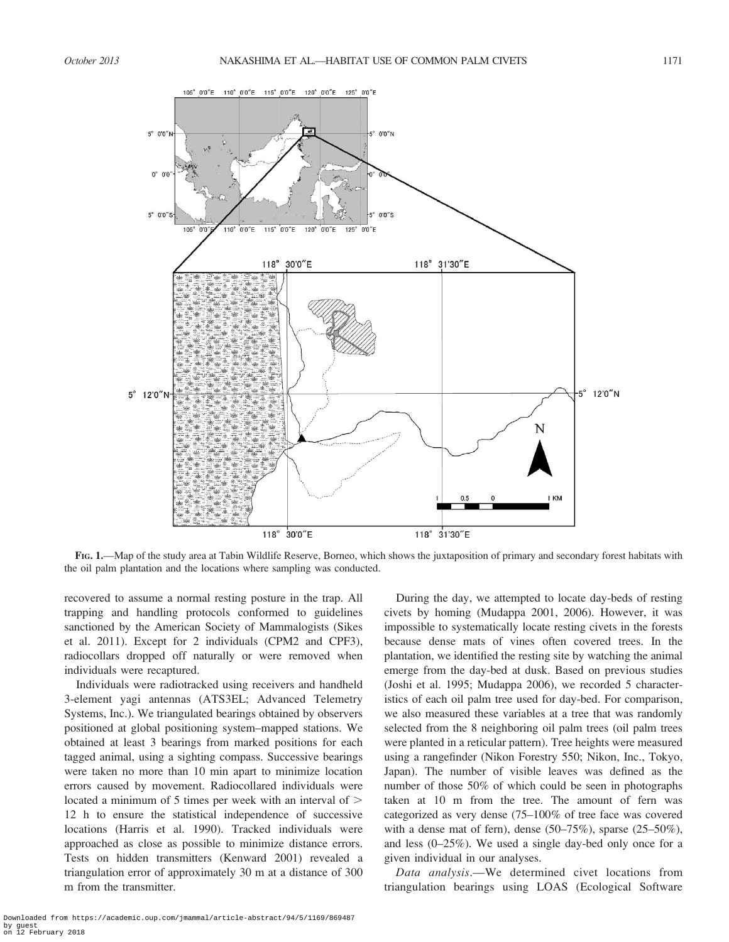

FIG. 1.—Map of the study area at Tabin Wildlife Reserve, Borneo, which shows the juxtaposition of primary and secondary forest habitats with the oil palm plantation and the locations where sampling was conducted.

recovered to assume a normal resting posture in the trap. All trapping and handling protocols conformed to guidelines sanctioned by the American Society of Mammalogists (Sikes et al. 2011). Except for 2 individuals (CPM2 and CPF3), radiocollars dropped off naturally or were removed when individuals were recaptured.

Individuals were radiotracked using receivers and handheld 3-element yagi antennas (ATS3EL; Advanced Telemetry Systems, Inc.). We triangulated bearings obtained by observers positioned at global positioning system–mapped stations. We obtained at least 3 bearings from marked positions for each tagged animal, using a sighting compass. Successive bearings were taken no more than 10 min apart to minimize location errors caused by movement. Radiocollared individuals were located a minimum of 5 times per week with an interval of  $\geq$ 12 h to ensure the statistical independence of successive locations (Harris et al. 1990). Tracked individuals were approached as close as possible to minimize distance errors. Tests on hidden transmitters (Kenward 2001) revealed a triangulation error of approximately 30 m at a distance of 300 m from the transmitter.

During the day, we attempted to locate day-beds of resting civets by homing (Mudappa 2001, 2006). However, it was impossible to systematically locate resting civets in the forests because dense mats of vines often covered trees. In the plantation, we identified the resting site by watching the animal emerge from the day-bed at dusk. Based on previous studies (Joshi et al. 1995; Mudappa 2006), we recorded 5 characteristics of each oil palm tree used for day-bed. For comparison, we also measured these variables at a tree that was randomly selected from the 8 neighboring oil palm trees (oil palm trees were planted in a reticular pattern). Tree heights were measured using a rangefinder (Nikon Forestry 550; Nikon, Inc., Tokyo, Japan). The number of visible leaves was defined as the number of those 50% of which could be seen in photographs taken at 10 m from the tree. The amount of fern was categorized as very dense (75–100% of tree face was covered with a dense mat of fern), dense (50–75%), sparse (25–50%), and less (0–25%). We used a single day-bed only once for a given individual in our analyses.

Data analysis.—We determined civet locations from triangulation bearings using LOAS (Ecological Software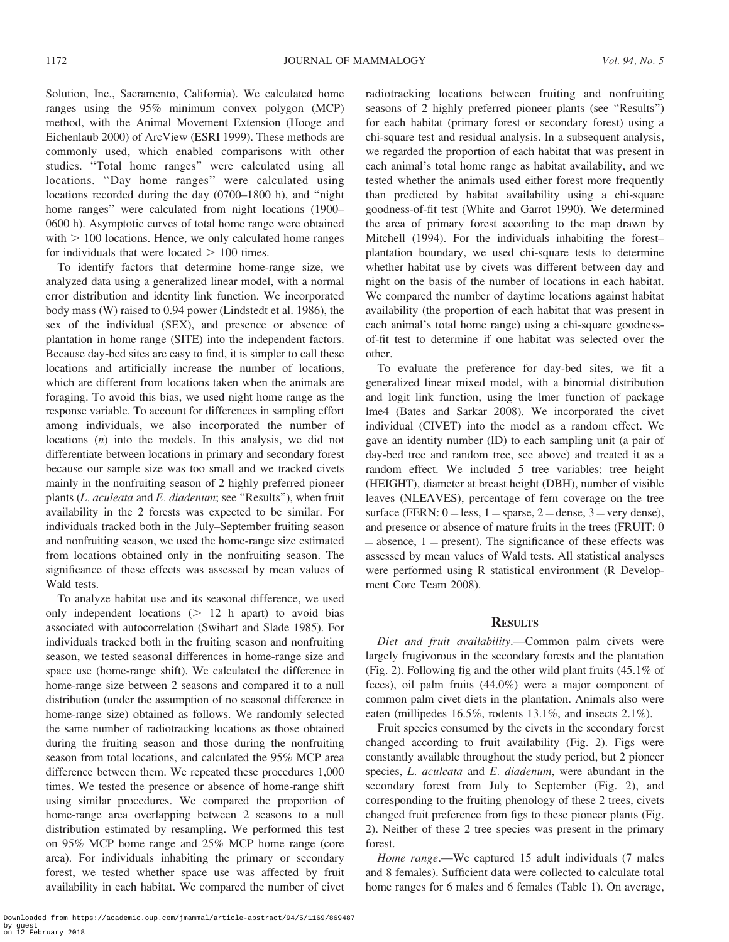Solution, Inc., Sacramento, California). We calculated home ranges using the 95% minimum convex polygon (MCP) method, with the Animal Movement Extension (Hooge and Eichenlaub 2000) of ArcView (ESRI 1999). These methods are commonly used, which enabled comparisons with other studies. ''Total home ranges'' were calculated using all locations. ''Day home ranges'' were calculated using locations recorded during the day (0700–1800 h), and ''night home ranges'' were calculated from night locations (1900– 0600 h). Asymptotic curves of total home range were obtained with  $> 100$  locations. Hence, we only calculated home ranges for individuals that were located  $> 100$  times.

To identify factors that determine home-range size, we analyzed data using a generalized linear model, with a normal error distribution and identity link function. We incorporated body mass (W) raised to 0.94 power (Lindstedt et al. 1986), the sex of the individual (SEX), and presence or absence of plantation in home range (SITE) into the independent factors. Because day-bed sites are easy to find, it is simpler to call these locations and artificially increase the number of locations, which are different from locations taken when the animals are foraging. To avoid this bias, we used night home range as the response variable. To account for differences in sampling effort among individuals, we also incorporated the number of locations (n) into the models. In this analysis, we did not differentiate between locations in primary and secondary forest because our sample size was too small and we tracked civets mainly in the nonfruiting season of 2 highly preferred pioneer plants (L. aculeata and E. diadenum; see "Results"), when fruit availability in the 2 forests was expected to be similar. For individuals tracked both in the July–September fruiting season and nonfruiting season, we used the home-range size estimated from locations obtained only in the nonfruiting season. The significance of these effects was assessed by mean values of Wald tests.

To analyze habitat use and its seasonal difference, we used only independent locations  $(> 12$  h apart) to avoid bias associated with autocorrelation (Swihart and Slade 1985). For individuals tracked both in the fruiting season and nonfruiting season, we tested seasonal differences in home-range size and space use (home-range shift). We calculated the difference in home-range size between 2 seasons and compared it to a null distribution (under the assumption of no seasonal difference in home-range size) obtained as follows. We randomly selected the same number of radiotracking locations as those obtained during the fruiting season and those during the nonfruiting season from total locations, and calculated the 95% MCP area difference between them. We repeated these procedures 1,000 times. We tested the presence or absence of home-range shift using similar procedures. We compared the proportion of home-range area overlapping between 2 seasons to a null distribution estimated by resampling. We performed this test on 95% MCP home range and 25% MCP home range (core area). For individuals inhabiting the primary or secondary forest, we tested whether space use was affected by fruit availability in each habitat. We compared the number of civet

radiotracking locations between fruiting and nonfruiting seasons of 2 highly preferred pioneer plants (see ''Results'') for each habitat (primary forest or secondary forest) using a chi-square test and residual analysis. In a subsequent analysis, we regarded the proportion of each habitat that was present in each animal's total home range as habitat availability, and we tested whether the animals used either forest more frequently than predicted by habitat availability using a chi-square goodness-of-fit test (White and Garrot 1990). We determined the area of primary forest according to the map drawn by Mitchell (1994). For the individuals inhabiting the forest– plantation boundary, we used chi-square tests to determine whether habitat use by civets was different between day and night on the basis of the number of locations in each habitat. We compared the number of daytime locations against habitat availability (the proportion of each habitat that was present in each animal's total home range) using a chi-square goodnessof-fit test to determine if one habitat was selected over the other.

To evaluate the preference for day-bed sites, we fit a generalized linear mixed model, with a binomial distribution and logit link function, using the lmer function of package lme4 (Bates and Sarkar 2008). We incorporated the civet individual (CIVET) into the model as a random effect. We gave an identity number (ID) to each sampling unit (a pair of day-bed tree and random tree, see above) and treated it as a random effect. We included 5 tree variables: tree height (HEIGHT), diameter at breast height (DBH), number of visible leaves (NLEAVES), percentage of fern coverage on the tree surface (FERN:  $0 =$ less,  $1 =$ sparse,  $2 =$ dense,  $3 =$ very dense), and presence or absence of mature fruits in the trees (FRUIT: 0  $=$  absence, 1  $=$  present). The significance of these effects was assessed by mean values of Wald tests. All statistical analyses were performed using R statistical environment (R Development Core Team 2008).

#### **RESULTS**

Diet and fruit availability.—Common palm civets were largely frugivorous in the secondary forests and the plantation (Fig. 2). Following fig and the other wild plant fruits (45.1% of feces), oil palm fruits (44.0%) were a major component of common palm civet diets in the plantation. Animals also were eaten (millipedes 16.5%, rodents 13.1%, and insects 2.1%).

Fruit species consumed by the civets in the secondary forest changed according to fruit availability (Fig. 2). Figs were constantly available throughout the study period, but 2 pioneer species, L. aculeata and E. diadenum, were abundant in the secondary forest from July to September (Fig. 2), and corresponding to the fruiting phenology of these 2 trees, civets changed fruit preference from figs to these pioneer plants (Fig. 2). Neither of these 2 tree species was present in the primary forest.

Home range.—We captured 15 adult individuals (7 males and 8 females). Sufficient data were collected to calculate total home ranges for 6 males and 6 females (Table 1). On average,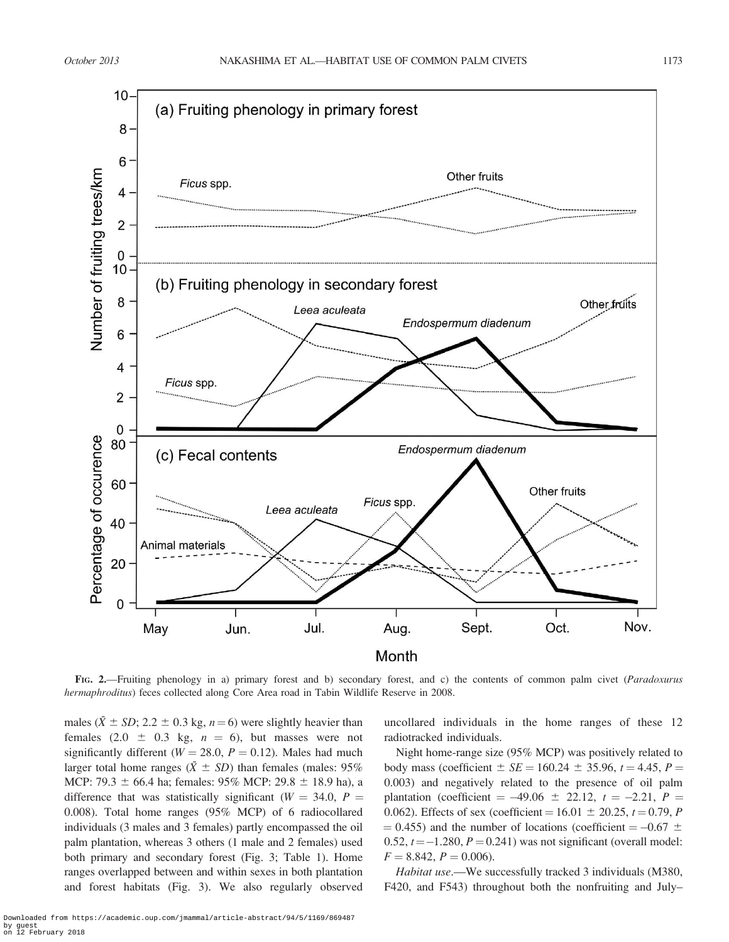

FIG. 2.—Fruiting phenology in a) primary forest and b) secondary forest, and c) the contents of common palm civet (Paradoxurus hermaphroditus) feces collected along Core Area road in Tabin Wildlife Reserve in 2008.

males ( $\bar{X} \pm SD$ ; 2.2  $\pm 0.3$  kg, n = 6) were slightly heavier than females  $(2.0 \pm 0.3 \text{ kg}, n = 6)$ , but masses were not significantly different ( $W = 28.0$ ,  $P = 0.12$ ). Males had much larger total home ranges ( $(\bar{X} \pm SD)$ ) than females (males: 95%) MCP: 79.3  $\pm$  66.4 ha; females: 95% MCP: 29.8  $\pm$  18.9 ha), a difference that was statistically significant ( $W = 34.0$ ,  $P =$ 0.008). Total home ranges (95% MCP) of 6 radiocollared individuals (3 males and 3 females) partly encompassed the oil palm plantation, whereas 3 others (1 male and 2 females) used both primary and secondary forest (Fig. 3; Table 1). Home ranges overlapped between and within sexes in both plantation and forest habitats (Fig. 3). We also regularly observed uncollared individuals in the home ranges of these 12 radiotracked individuals.

Night home-range size (95% MCP) was positively related to body mass (coefficient  $\pm$  *SE* = 160.24  $\pm$  35.96, t = 4.45, P = 0.003) and negatively related to the presence of oil palm plantation (coefficient =  $-49.06 \pm 22.12$ ,  $t = -2.21$ ,  $P =$ 0.062). Effects of sex (coefficient =  $16.01 \pm 20.25$ ,  $t = 0.79$ , P  $= 0.455$ ) and the number of locations (coefficient  $= -0.67 \pm 0.67$ 0.52,  $t = -1.280$ ,  $P = 0.241$ ) was not significant (overall model:  $F = 8.842, P = 0.006.$ 

Habitat use.—We successfully tracked 3 individuals (M380, F420, and F543) throughout both the nonfruiting and July–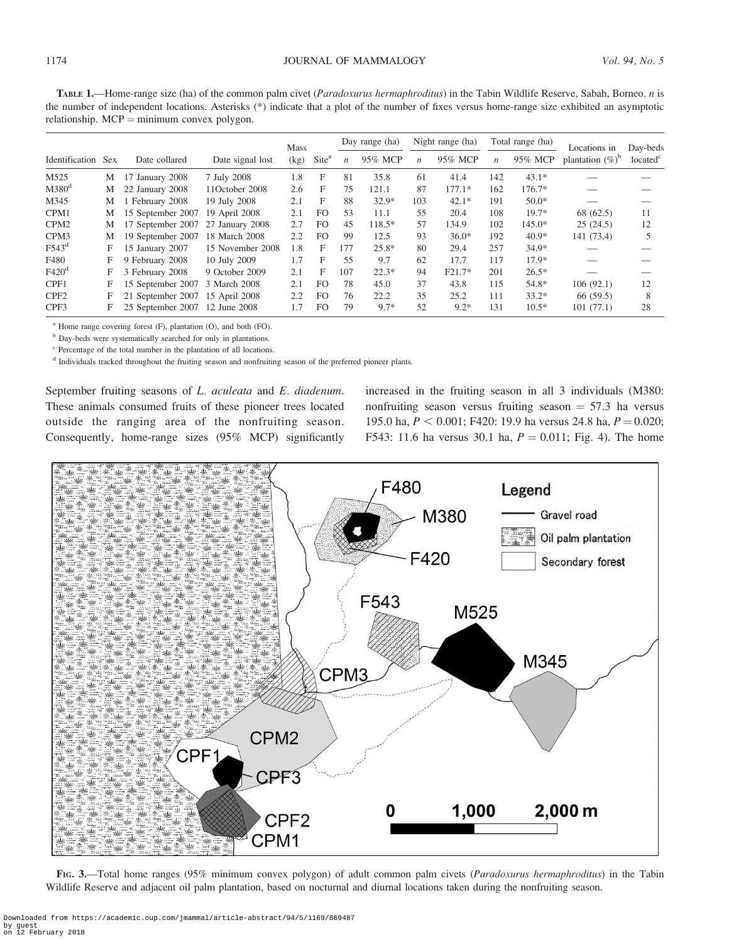TABLE 1.—Home-range size (ha) of the common palm civet (Paradoxurus hermaphroditus) in the Tabin Wildlife Reserve, Sabah, Borneo. n is the number of independent locations. Asterisks (\*) indicate that a plot of the number of fixes versus home-range size exhibited an asymptotic relationship.  $MCP =$  minimum convex polygon.

|                   |            |                   |                  | <b>Mass</b> |                   |                  | Day range (ha) |                  | Night range (ha) |                  | Total range (ha) | Locations in        | Day-beds             |
|-------------------|------------|-------------------|------------------|-------------|-------------------|------------------|----------------|------------------|------------------|------------------|------------------|---------------------|----------------------|
| Identification    | <b>Sex</b> | Date collared     | Date signal lost | (kg)        | Site <sup>a</sup> | $\boldsymbol{n}$ | 95% MCP        | $\boldsymbol{n}$ | 95% MCP          | $\boldsymbol{n}$ | 95% MCP          | plantation $(\%)^b$ | located <sup>c</sup> |
| M525              | М          | January 2008      | 7 July 2008      | 1.8         | F                 | 81               | 35.8           | 61               | 41.4             | 142              | $43.1*$          |                     |                      |
| $M380^d$          | M          | 22 January 2008   | 11October 2008   | 2.6         | F                 | 75               | 121.1          | 87               | $177.1*$         | 162              | 176.7*           |                     |                      |
| M345              | М          | 1 February 2008   | 19 July 2008     | 2.1         | F                 | 88               | $32.9*$        | 103              | $42.1*$          | 191              | $50.0*$          |                     |                      |
| CPM1              | М          | 15 September 2007 | 19 April 2008    | 2.1         | F <sub>O</sub>    | 53               | 11.1           | 55               | 20.4             | 108              | $19.7*$          | 68 (62.5)           | 11                   |
| CPM <sub>2</sub>  | М          | 17 September 2007 | 27 January 2008  | 2.7         | F <sub>O</sub>    | 45               | 118.5*         | 57               | 134.9            | 102              | $145.0*$         | 25(24.5)            | 12                   |
| CPM <sub>3</sub>  | M          | 19 September 2007 | 18 March 2008    | 2.2         | F <sub>O</sub>    | 99               | 12.5           | 93               | $36.0*$          | 192              | $40.9*$          | 141 (73.4)          |                      |
| F543 <sup>d</sup> | F          | 15 January 2007   | 15 November 2008 | 1.8         | F                 | 177              | $25.8*$        | 80               | 29.4             | 257              | $34.9*$          |                     |                      |
| F480              | F          | 9 February 2008   | 10 July 2009     | 1.7         | F                 | 55               | 9.7            | 62               | 17.7             | 117              | $17.9*$          |                     |                      |
| F420 <sup>d</sup> | F          | 3 February 2008   | 9 October 2009   | 2.1         | F                 | 107              | $22.3*$        | 94               | $F21.7*$         | 201              | $26.5*$          |                     |                      |
| CPF1              | F          | 15 September 2007 | 3 March 2008     | 2.1         | F <sub>O</sub>    | 78               | 45.0           | 37               | 43.8             | 115              | 54.8*            | 106(92.1)           | 12                   |
| CPF <sub>2</sub>  | F          | 21 September 2007 | 15 April 2008    | 2.2         | F <sub>O</sub>    | 76               | 22.2           | 35               | 25.2             | 111              | $33.2*$          | 66(59.5)            | 8                    |
| CPF3              | F          | 25 September 2007 | 12 June 2008     | 1.7         | F <sub>O</sub>    | 79               | $9.7*$         | 52               | $9.2*$           | 131              | $10.5*$          | 101(77.1)           | 28                   |

<sup>a</sup> Home range covering forest (F), plantation (O), and both (FO).

<sup>b</sup> Day-beds were systematically searched for only in plantations.

<sup>c</sup> Percentage of the total number in the plantation of all locations.

<sup>d</sup> Individuals tracked throughout the fruiting season and nonfruiting season of the preferred pioneer plants.

September fruiting seasons of L. aculeata and E. diadenum. These animals consumed fruits of these pioneer trees located outside the ranging area of the nonfruiting season. Consequently, home-range sizes (95% MCP) significantly

increased in the fruiting season in all 3 individuals (M380: nonfruiting season versus fruiting season  $= 57.3$  ha versus 195.0 ha,  $P < 0.001$ ; F420: 19.9 ha versus 24.8 ha,  $P = 0.020$ ; F543: 11.6 ha versus 30.1 ha,  $P = 0.011$ ; Fig. 4). The home



FIG. 3.—Total home ranges (95% minimum convex polygon) of adult common palm civets (Paradoxurus hermaphroditus) in the Tabin Wildlife Reserve and adjacent oil palm plantation, based on nocturnal and diurnal locations taken during the nonfruiting season.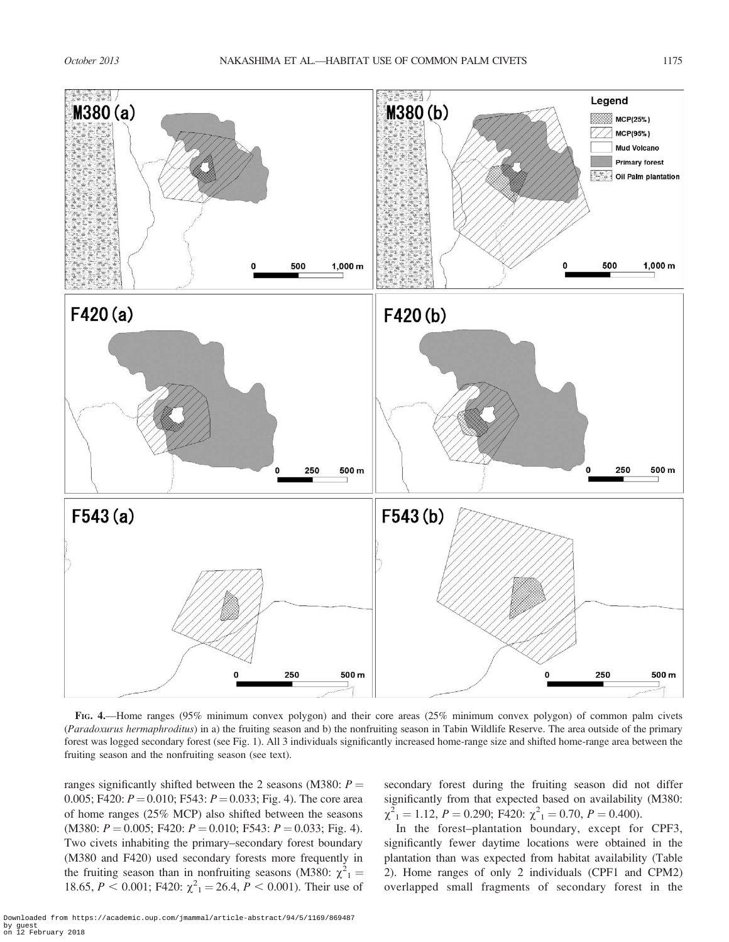

FIG. 4.—Home ranges (95% minimum convex polygon) and their core areas (25% minimum convex polygon) of common palm civets (Paradoxurus hermaphroditus) in a) the fruiting season and b) the nonfruiting season in Tabin Wildlife Reserve. The area outside of the primary forest was logged secondary forest (see Fig. 1). All 3 individuals significantly increased home-range size and shifted home-range area between the fruiting season and the nonfruiting season (see text).

ranges significantly shifted between the 2 seasons (M380:  $P =$ 0.005; F420:  $P = 0.010$ ; F543:  $P = 0.033$ ; Fig. 4). The core area of home ranges (25% MCP) also shifted between the seasons (M380:  $P = 0.005$ ; F420:  $P = 0.010$ ; F543:  $P = 0.033$ ; Fig. 4). Two civets inhabiting the primary–secondary forest boundary (M380 and F420) used secondary forests more frequently in the fruiting season than in nonfruiting seasons (M380:  $\chi^2_{1}$  = 18.65,  $P < 0.001$ ; F420:  $\chi^2$ <sub>1</sub> = 26.4,  $P < 0.001$ ). Their use of

secondary forest during the fruiting season did not differ significantly from that expected based on availability (M380:  $\chi^2_{1} = 1.12, P = 0.290; F420; \chi^2_{1} = 0.70, P = 0.400.$ 

In the forest–plantation boundary, except for CPF3, significantly fewer daytime locations were obtained in the plantation than was expected from habitat availability (Table 2). Home ranges of only 2 individuals (CPF1 and CPM2) overlapped small fragments of secondary forest in the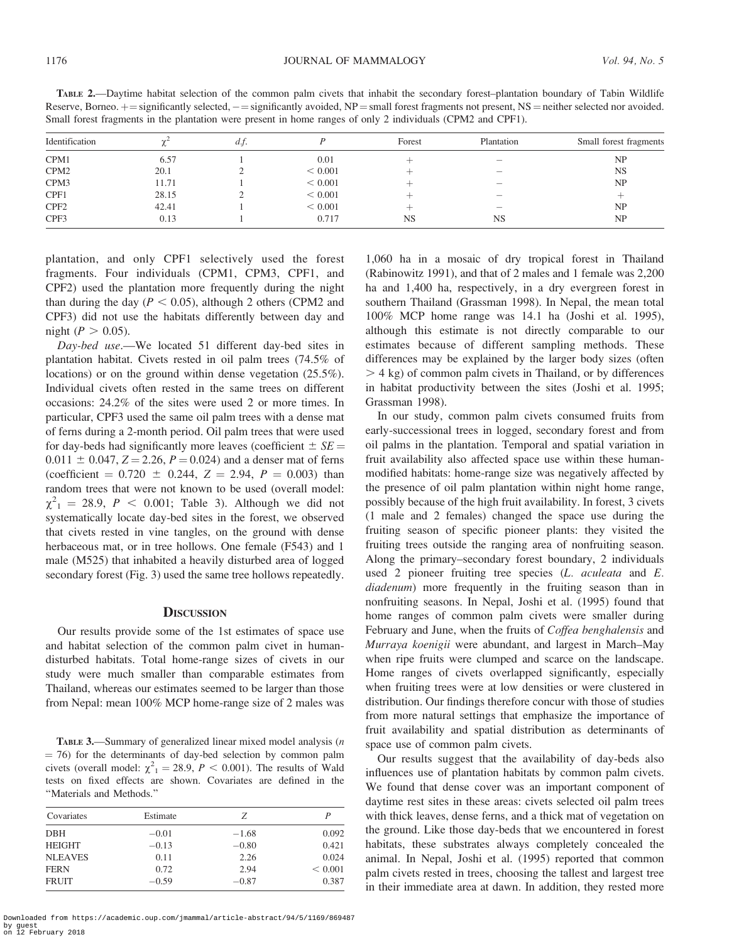| <b>TABLE 2.—Daytime habitat selection of the common palm civets that inhabit the secondary forest-plantation boundary of Tabin Wildlife</b>             |  |
|---------------------------------------------------------------------------------------------------------------------------------------------------------|--|
| Reserve, Borneo. $+$ = significantly selected, $-$ = significantly avoided, NP = small forest fragments not present, NS = neither selected nor avoided. |  |
| Small forest fragments in the plantation were present in home ranges of only 2 individuals (CPM2 and CPF1).                                             |  |

| Identification   |       | d.f. |         | Forest    | Plantation | Small forest fragments |
|------------------|-------|------|---------|-----------|------------|------------------------|
| CPM1             | 6.57  |      | 0.01    |           |            | NP                     |
| CPM <sub>2</sub> | 20.1  |      | < 0.001 |           |            | <b>NS</b>              |
| CPM3             | 11.71 |      | < 0.001 |           |            | NP                     |
| CPF1             | 28.15 |      | < 0.001 |           |            |                        |
| CPF <sub>2</sub> | 42.41 |      | < 0.001 |           |            | NP                     |
| CPF3             | 0.13  |      | 0.717   | <b>NS</b> | <b>NS</b>  | NP                     |

plantation, and only CPF1 selectively used the forest fragments. Four individuals (CPM1, CPM3, CPF1, and CPF2) used the plantation more frequently during the night than during the day ( $P < 0.05$ ), although 2 others (CPM2 and CPF3) did not use the habitats differently between day and night ( $P > 0.05$ ).

Day-bed use.—We located 51 different day-bed sites in plantation habitat. Civets rested in oil palm trees (74.5% of locations) or on the ground within dense vegetation (25.5%). Individual civets often rested in the same trees on different occasions: 24.2% of the sites were used 2 or more times. In particular, CPF3 used the same oil palm trees with a dense mat of ferns during a 2-month period. Oil palm trees that were used for day-beds had significantly more leaves (coefficient  $\pm SE =$  $0.011 \pm 0.047$ ,  $Z = 2.26$ ,  $P = 0.024$ ) and a denser mat of ferns (coefficient  $= 0.720 \pm 0.244$ ,  $Z = 2.94$ ,  $P = 0.003$ ) than random trees that were not known to be used (overall model:  $\chi^{2}_{1}$  = 28.9, P < 0.001; Table 3). Although we did not systematically locate day-bed sites in the forest, we observed that civets rested in vine tangles, on the ground with dense herbaceous mat, or in tree hollows. One female (F543) and 1 male (M525) that inhabited a heavily disturbed area of logged secondary forest (Fig. 3) used the same tree hollows repeatedly.

#### **DISCUSSION**

Our results provide some of the 1st estimates of space use and habitat selection of the common palm civet in humandisturbed habitats. Total home-range sizes of civets in our study were much smaller than comparable estimates from Thailand, whereas our estimates seemed to be larger than those from Nepal: mean 100% MCP home-range size of 2 males was

TABLE 3.—Summary of generalized linear mixed model analysis (n  $=$  76) for the determinants of day-bed selection by common palm civets (overall model:  $\chi^2_1 = 28.9$ ,  $P < 0.001$ ). The results of Wald tests on fixed effects are shown. Covariates are defined in the ''Materials and Methods.''

| Covariates     | Estimate | Ζ       | P       |
|----------------|----------|---------|---------|
| <b>DBH</b>     | $-0.01$  | $-1.68$ | 0.092   |
| <b>HEIGHT</b>  | $-0.13$  | $-0.80$ | 0.421   |
| <b>NLEAVES</b> | 0.11     | 2.26    | 0.024   |
| <b>FERN</b>    | 0.72     | 2.94    | < 0.001 |
| <b>FRUIT</b>   | $-0.59$  | $-0.87$ | 0.387   |

Downloaded from https://academic.oup.com/jmammal/article-abstract/94/5/1169/869487 by guest on 12 February 2018

1,060 ha in a mosaic of dry tropical forest in Thailand (Rabinowitz 1991), and that of 2 males and 1 female was 2,200 ha and 1,400 ha, respectively, in a dry evergreen forest in southern Thailand (Grassman 1998). In Nepal, the mean total 100% MCP home range was 14.1 ha (Joshi et al. 1995), although this estimate is not directly comparable to our estimates because of different sampling methods. These differences may be explained by the larger body sizes (often  $>$  4 kg) of common palm civets in Thailand, or by differences in habitat productivity between the sites (Joshi et al. 1995; Grassman 1998).

In our study, common palm civets consumed fruits from early-successional trees in logged, secondary forest and from oil palms in the plantation. Temporal and spatial variation in fruit availability also affected space use within these humanmodified habitats: home-range size was negatively affected by the presence of oil palm plantation within night home range, possibly because of the high fruit availability. In forest, 3 civets (1 male and 2 females) changed the space use during the fruiting season of specific pioneer plants: they visited the fruiting trees outside the ranging area of nonfruiting season. Along the primary–secondary forest boundary, 2 individuals used 2 pioneer fruiting tree species (L. aculeata and E. diadenum) more frequently in the fruiting season than in nonfruiting seasons. In Nepal, Joshi et al. (1995) found that home ranges of common palm civets were smaller during February and June, when the fruits of Coffea benghalensis and Murraya koenigii were abundant, and largest in March–May when ripe fruits were clumped and scarce on the landscape. Home ranges of civets overlapped significantly, especially when fruiting trees were at low densities or were clustered in distribution. Our findings therefore concur with those of studies from more natural settings that emphasize the importance of fruit availability and spatial distribution as determinants of space use of common palm civets.

Our results suggest that the availability of day-beds also influences use of plantation habitats by common palm civets. We found that dense cover was an important component of daytime rest sites in these areas: civets selected oil palm trees with thick leaves, dense ferns, and a thick mat of vegetation on the ground. Like those day-beds that we encountered in forest habitats, these substrates always completely concealed the animal. In Nepal, Joshi et al. (1995) reported that common palm civets rested in trees, choosing the tallest and largest tree in their immediate area at dawn. In addition, they rested more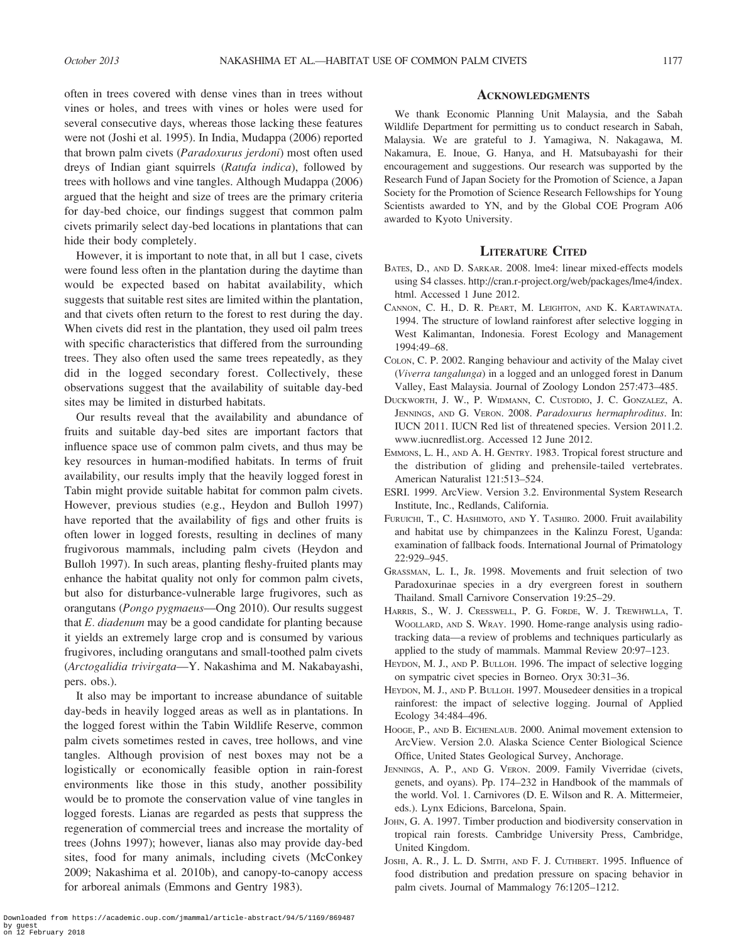often in trees covered with dense vines than in trees without vines or holes, and trees with vines or holes were used for several consecutive days, whereas those lacking these features were not (Joshi et al. 1995). In India, Mudappa (2006) reported that brown palm civets (Paradoxurus jerdoni) most often used dreys of Indian giant squirrels (Ratufa indica), followed by trees with hollows and vine tangles. Although Mudappa (2006) argued that the height and size of trees are the primary criteria for day-bed choice, our findings suggest that common palm civets primarily select day-bed locations in plantations that can hide their body completely.

However, it is important to note that, in all but 1 case, civets were found less often in the plantation during the daytime than would be expected based on habitat availability, which suggests that suitable rest sites are limited within the plantation, and that civets often return to the forest to rest during the day. When civets did rest in the plantation, they used oil palm trees with specific characteristics that differed from the surrounding trees. They also often used the same trees repeatedly, as they did in the logged secondary forest. Collectively, these observations suggest that the availability of suitable day-bed sites may be limited in disturbed habitats.

Our results reveal that the availability and abundance of fruits and suitable day-bed sites are important factors that influence space use of common palm civets, and thus may be key resources in human-modified habitats. In terms of fruit availability, our results imply that the heavily logged forest in Tabin might provide suitable habitat for common palm civets. However, previous studies (e.g., Heydon and Bulloh 1997) have reported that the availability of figs and other fruits is often lower in logged forests, resulting in declines of many frugivorous mammals, including palm civets (Heydon and Bulloh 1997). In such areas, planting fleshy-fruited plants may enhance the habitat quality not only for common palm civets, but also for disturbance-vulnerable large frugivores, such as orangutans (Pongo pygmaeus—Ong 2010). Our results suggest that  $E$ . *diadenum* may be a good candidate for planting because it yields an extremely large crop and is consumed by various frugivores, including orangutans and small-toothed palm civets (Arctogalidia trivirgata—Y. Nakashima and M. Nakabayashi, pers. obs.).

It also may be important to increase abundance of suitable day-beds in heavily logged areas as well as in plantations. In the logged forest within the Tabin Wildlife Reserve, common palm civets sometimes rested in caves, tree hollows, and vine tangles. Although provision of nest boxes may not be a logistically or economically feasible option in rain-forest environments like those in this study, another possibility would be to promote the conservation value of vine tangles in logged forests. Lianas are regarded as pests that suppress the regeneration of commercial trees and increase the mortality of trees (Johns 1997); however, lianas also may provide day-bed sites, food for many animals, including civets (McConkey 2009; Nakashima et al. 2010b), and canopy-to-canopy access for arboreal animals (Emmons and Gentry 1983).

## **ACKNOWLEDGMENTS**

We thank Economic Planning Unit Malaysia, and the Sabah Wildlife Department for permitting us to conduct research in Sabah, Malaysia. We are grateful to J. Yamagiwa, N. Nakagawa, M. Nakamura, E. Inoue, G. Hanya, and H. Matsubayashi for their encouragement and suggestions. Our research was supported by the Research Fund of Japan Society for the Promotion of Science, a Japan Society for the Promotion of Science Research Fellowships for Young Scientists awarded to YN, and by the Global COE Program A06 awarded to Kyoto University.

# LITERATURE CITED

- BATES, D., AND D. SARKAR. 2008. lme4: linear mixed-effects models using S4 classes. http://cran.r-project.org/web/packages/lme4/index. html. Accessed 1 June 2012.
- CANNON, C. H., D. R. PEART, M. LEIGHTON, AND K. KARTAWINATA. 1994. The structure of lowland rainforest after selective logging in West Kalimantan, Indonesia. Forest Ecology and Management 1994:49–68.
- COLON, C. P. 2002. Ranging behaviour and activity of the Malay civet (Viverra tangalunga) in a logged and an unlogged forest in Danum Valley, East Malaysia. Journal of Zoology London 257:473–485.
- DUCKWORTH, J. W., P. WIDMANN, C. CUSTODIO, J. C. GONZALEZ, A. JENNINGS, AND G. VERON. 2008. Paradoxurus hermaphroditus. In: IUCN 2011. IUCN Red list of threatened species. Version 2011.2. www.iucnredlist.org. Accessed 12 June 2012.
- EMMONS, L. H., AND A. H. GENTRY. 1983. Tropical forest structure and the distribution of gliding and prehensile-tailed vertebrates. American Naturalist 121:513–524.
- ESRI. 1999. ArcView. Version 3.2. Environmental System Research Institute, Inc., Redlands, California.
- FURUICHI, T., C. HASHIMOTO, AND Y. TASHIRO. 2000. Fruit availability and habitat use by chimpanzees in the Kalinzu Forest, Uganda: examination of fallback foods. International Journal of Primatology 22:929–945.
- GRASSMAN, L. I., JR. 1998. Movements and fruit selection of two Paradoxurinae species in a dry evergreen forest in southern Thailand. Small Carnivore Conservation 19:25–29.
- HARRIS, S., W. J. CRESSWELL, P. G. FORDE, W. J. TREWHWLLA, T. WOOLLARD, AND S. WRAY. 1990. Home-range analysis using radiotracking data—a review of problems and techniques particularly as applied to the study of mammals. Mammal Review 20:97–123.
- HEYDON, M. J., AND P. BULLOH. 1996. The impact of selective logging on sympatric civet species in Borneo. Oryx 30:31–36.
- HEYDON, M. J., AND P. BULLOH. 1997. Mousedeer densities in a tropical rainforest: the impact of selective logging. Journal of Applied Ecology 34:484–496.
- HOOGE, P., AND B. EICHENLAUB. 2000. Animal movement extension to ArcView. Version 2.0. Alaska Science Center Biological Science Office, United States Geological Survey, Anchorage.
- JENNINGS, A. P., AND G. VERON. 2009. Family Viverridae (civets, genets, and oyans). Pp. 174–232 in Handbook of the mammals of the world. Vol. 1. Carnivores (D. E. Wilson and R. A. Mittermeier, eds.). Lynx Edicions, Barcelona, Spain.
- JOHN, G. A. 1997. Timber production and biodiversity conservation in tropical rain forests. Cambridge University Press, Cambridge, United Kingdom.
- JOSHI, A. R., J. L. D. SMITH, AND F. J. CUTHBERT. 1995. Influence of food distribution and predation pressure on spacing behavior in palm civets. Journal of Mammalogy 76:1205–1212.